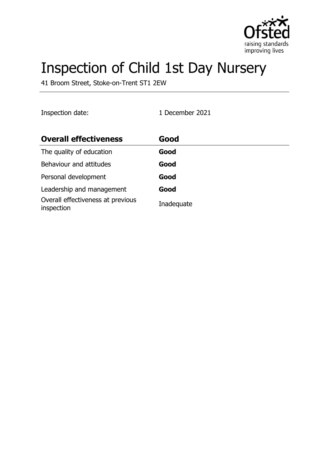

# Inspection of Child 1st Day Nursery

41 Broom Street, Stoke-on-Trent ST1 2EW

Inspection date: 1 December 2021

| <b>Overall effectiveness</b>                    | Good       |
|-------------------------------------------------|------------|
| The quality of education                        | Good       |
| Behaviour and attitudes                         | Good       |
| Personal development                            | Good       |
| Leadership and management                       | Good       |
| Overall effectiveness at previous<br>inspection | Inadequate |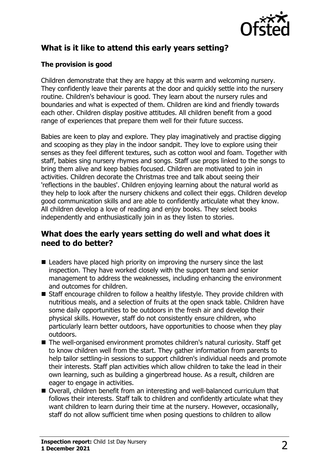

# **What is it like to attend this early years setting?**

## **The provision is good**

Children demonstrate that they are happy at this warm and welcoming nursery. They confidently leave their parents at the door and quickly settle into the nursery routine. Children's behaviour is good. They learn about the nursery rules and boundaries and what is expected of them. Children are kind and friendly towards each other. Children display positive attitudes. All children benefit from a good range of experiences that prepare them well for their future success.

Babies are keen to play and explore. They play imaginatively and practise digging and scooping as they play in the indoor sandpit. They love to explore using their senses as they feel different textures, such as cotton wool and foam. Together with staff, babies sing nursery rhymes and songs. Staff use props linked to the songs to bring them alive and keep babies focused. Children are motivated to join in activities. Children decorate the Christmas tree and talk about seeing their 'reflections in the baubles'. Children enjoying learning about the natural world as they help to look after the nursery chickens and collect their eggs. Children develop good communication skills and are able to confidently articulate what they know. All children develop a love of reading and enjoy books. They select books independently and enthusiastically join in as they listen to stories.

## **What does the early years setting do well and what does it need to do better?**

- $\blacksquare$  Leaders have placed high priority on improving the nursery since the last inspection. They have worked closely with the support team and senior management to address the weaknesses, including enhancing the environment and outcomes for children.
- Staff encourage children to follow a healthy lifestyle. They provide children with nutritious meals, and a selection of fruits at the open snack table. Children have some daily opportunities to be outdoors in the fresh air and develop their physical skills. However, staff do not consistently ensure children, who particularly learn better outdoors, have opportunities to choose when they play outdoors.
- The well-organised environment promotes children's natural curiosity. Staff get to know children well from the start. They gather information from parents to help tailor settling-in sessions to support children's individual needs and promote their interests. Staff plan activities which allow children to take the lead in their own learning, such as building a gingerbread house. As a result, children are eager to engage in activities.
- Overall, children benefit from an interesting and well-balanced curriculum that follows their interests. Staff talk to children and confidently articulate what they want children to learn during their time at the nursery. However, occasionally, staff do not allow sufficient time when posing questions to children to allow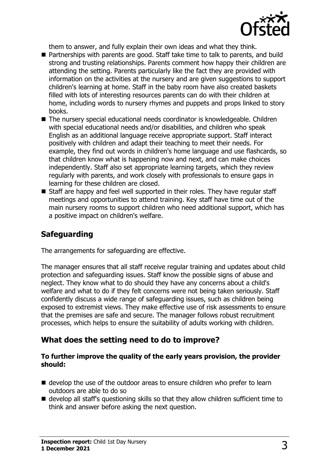

them to answer, and fully explain their own ideas and what they think.

- Partnerships with parents are good. Staff take time to talk to parents, and build strong and trusting relationships. Parents comment how happy their children are attending the setting. Parents particularly like the fact they are provided with information on the activities at the nursery and are given suggestions to support children's learning at home. Staff in the baby room have also created baskets filled with lots of interesting resources parents can do with their children at home, including words to nursery rhymes and puppets and props linked to story books.
- The nursery special educational needs coordinator is knowledgeable. Children with special educational needs and/or disabilities, and children who speak English as an additional language receive appropriate support. Staff interact positively with children and adapt their teaching to meet their needs. For example, they find out words in children's home language and use flashcards, so that children know what is happening now and next, and can make choices independently. Staff also set appropriate learning targets, which they review regularly with parents, and work closely with professionals to ensure gaps in learning for these children are closed.
- $\blacksquare$  Staff are happy and feel well supported in their roles. They have regular staff meetings and opportunities to attend training. Key staff have time out of the main nursery rooms to support children who need additional support, which has a positive impact on children's welfare.

# **Safeguarding**

The arrangements for safeguarding are effective.

The manager ensures that all staff receive regular training and updates about child protection and safeguarding issues. Staff know the possible signs of abuse and neglect. They know what to do should they have any concerns about a child's welfare and what to do if they felt concerns were not being taken seriously. Staff confidently discuss a wide range of safeguarding issues, such as children being exposed to extremist views. They make effective use of risk assessments to ensure that the premises are safe and secure. The manager follows robust recruitment processes, which helps to ensure the suitability of adults working with children.

## **What does the setting need to do to improve?**

#### **To further improve the quality of the early years provision, the provider should:**

- $\blacksquare$  develop the use of the outdoor areas to ensure children who prefer to learn outdoors are able to do so
- $\blacksquare$  develop all staff's questioning skills so that they allow children sufficient time to think and answer before asking the next question.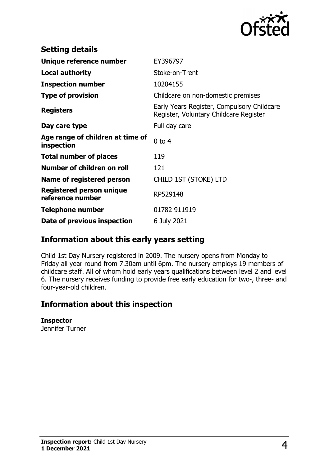

| <b>Setting details</b>                         |                                                                                      |
|------------------------------------------------|--------------------------------------------------------------------------------------|
| Unique reference number                        | EY396797                                                                             |
| <b>Local authority</b>                         | Stoke-on-Trent                                                                       |
| <b>Inspection number</b>                       | 10204155                                                                             |
| <b>Type of provision</b>                       | Childcare on non-domestic premises                                                   |
| <b>Registers</b>                               | Early Years Register, Compulsory Childcare<br>Register, Voluntary Childcare Register |
| Day care type                                  | Full day care                                                                        |
| Age range of children at time of<br>inspection | $0$ to 4                                                                             |
| <b>Total number of places</b>                  | 119                                                                                  |
| Number of children on roll                     | 121                                                                                  |
| Name of registered person                      | CHILD 1ST (STOKE) LTD                                                                |
| Registered person unique<br>reference number   | RP529148                                                                             |
| <b>Telephone number</b>                        | 01782 911919                                                                         |
| Date of previous inspection                    | 6 July 2021                                                                          |

## **Information about this early years setting**

Child 1st Day Nursery registered in 2009. The nursery opens from Monday to Friday all year round from 7.30am until 6pm. The nursery employs 19 members of childcare staff. All of whom hold early years qualifications between level 2 and level 6. The nursery receives funding to provide free early education for two-, three- and four-year-old children.

## **Information about this inspection**

#### **Inspector**

Jennifer Turner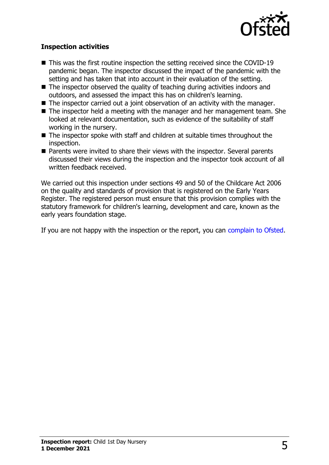

### **Inspection activities**

- $\blacksquare$  This was the first routine inspection the setting received since the COVID-19 pandemic began. The inspector discussed the impact of the pandemic with the setting and has taken that into account in their evaluation of the setting.
- $\blacksquare$  The inspector observed the quality of teaching during activities indoors and outdoors, and assessed the impact this has on children's learning.
- $\blacksquare$  The inspector carried out a joint observation of an activity with the manager.
- $\blacksquare$  The inspector held a meeting with the manager and her management team. She looked at relevant documentation, such as evidence of the suitability of staff working in the nursery.
- $\blacksquare$  The inspector spoke with staff and children at suitable times throughout the inspection.
- Parents were invited to share their views with the inspector. Several parents discussed their views during the inspection and the inspector took account of all written feedback received.

We carried out this inspection under sections 49 and 50 of the Childcare Act 2006 on the quality and standards of provision that is registered on the Early Years Register. The registered person must ensure that this provision complies with the statutory framework for children's learning, development and care, known as the early years foundation stage.

If you are not happy with the inspection or the report, you can [complain to Ofsted](http://www.gov.uk/complain-ofsted-report).